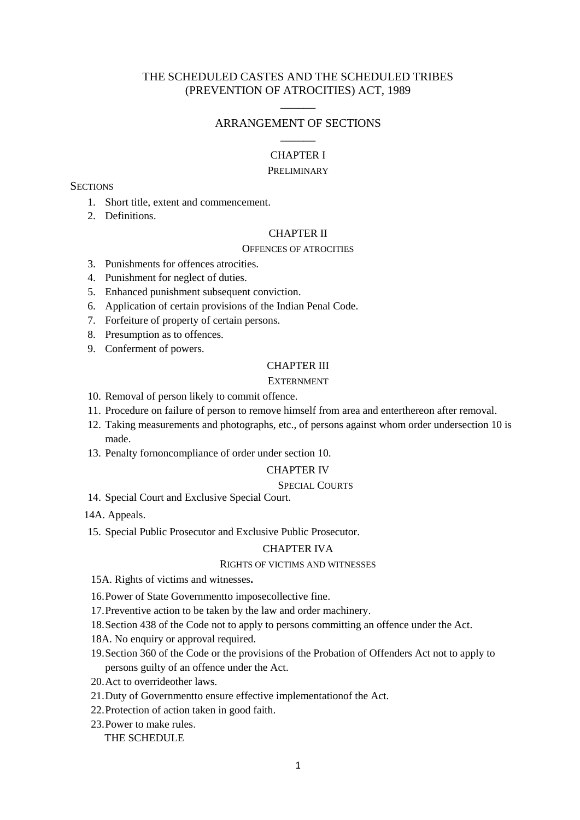# THE SCHEDULED CASTES AND THE SCHEDULED TRIBES (PREVENTION OF ATROCITIES) ACT, 1989

# $\overline{\phantom{a}}$ ARRANGEMENT OF SECTIONS  $\overline{\phantom{a}}$

# CHAPTER I

#### PRELIMINARY

## **SECTIONS**

- 1. Short title, extent and commencement.
- 2. Definitions.

## CHAPTER II

#### OFFENCES OF ATROCITIES

- 3. Punishments for offences atrocities.
- 4. Punishment for neglect of duties.
- 5. Enhanced punishment subsequent conviction.
- 6. Application of certain provisions of the Indian Penal Code.
- 7. Forfeiture of property of certain persons.
- 8. Presumption as to offences.
- 9. Conferment of powers.

## CHAPTER III

## EXTERNMENT

- 10. Removal of person likely to commit offence.
- 11. Procedure on failure of person to remove himself from area and enterthereon after removal.
- 12. Taking measurements and photographs, etc., of persons against whom order undersection 10 is made.
- 13. Penalty fornoncompliance of order under section 10.

#### CHAPTER IV

## SPECIAL COURTS

14. Special Court and Exclusive Special Court.

14A. Appeals.

15. Special Public Prosecutor and Exclusive Public Prosecutor.

## CHAPTER IVA

## RIGHTS OF VICTIMS AND WITNESSES

- 15A. Rights of victims and witnesses**.**
- 16.Power of State Governmentto imposecollective fine.
- 17.Preventive action to be taken by the law and order machinery.
- 18.Section 438 of the Code not to apply to persons committing an offence under the Act.
- 18A. No enquiry or approval required.
- 19.Section 360 of the Code or the provisions of the Probation of Offenders Act not to apply to persons guilty of an offence under the Act.
- 20.Act to overrideother laws.
- 21.Duty of Governmentto ensure effective implementationof the Act.
- 22.Protection of action taken in good faith.
- 23.Power to make rules.

THE SCHEDULE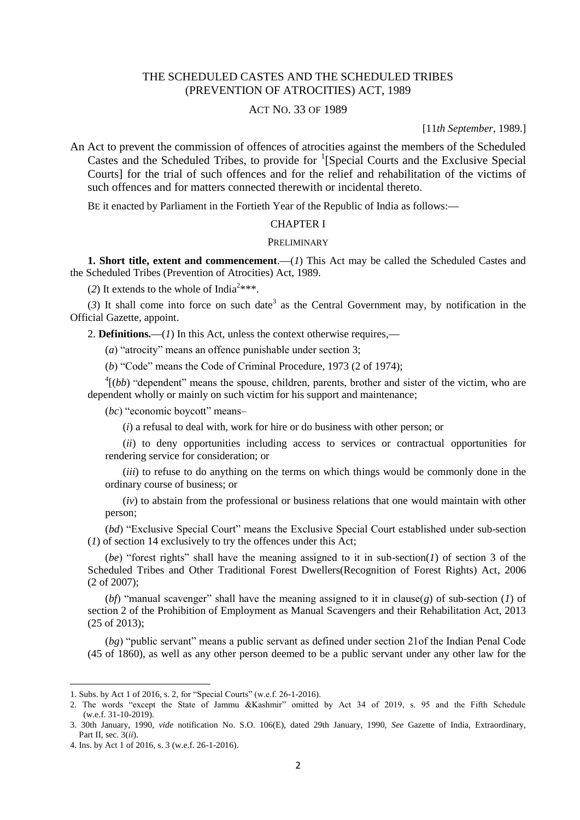# THE SCHEDULED CASTES AND THE SCHEDULED TRIBES (PREVENTION OF ATROCITIES) ACT, 1989

## ACT NO. 33 OF 1989

[11*th September*, 1989.]

An Act to prevent the commission of offences of atrocities against the members of the Scheduled Castes and the Scheduled Tribes, to provide for  ${}^{1}$ [Special Courts and the Exclusive Special Courts] for the trial of such offences and for the relief and rehabilitation of the victims of such offences and for matters connected therewith or incidental thereto.

BE it enacted by Parliament in the Fortieth Year of the Republic of India as follows:**—**

#### CHAPTER I

#### PRELIMINARY

**1. Short title, extent and commencement**.**—**(*1*) This Act may be called the Scheduled Castes and the Scheduled Tribes (Prevention of Atrocities) Act, 1989.

(2) It extends to the whole of India<sup>2\*\*\*</sup>.

 $(3)$  It shall come into force on such date<sup>3</sup> as the Central Government may, by notification in the Official Gazette, appoint.

2. **Definitions.—**(*1*) In this Act, unless the context otherwise requires,**—**

(*a*) "atrocity" means an offence punishable under section 3;

(*b*) "Code" means the Code of Criminal Procedure, 1973 (2 of 1974);

 $^{4}$ [(*bb*) "dependent" means the spouse, children, parents, brother and sister of the victim, who are dependent wholly or mainly on such victim for his support and maintenance;

(*bc*) "economic boycott" means–

(*i*) a refusal to deal with, work for hire or do business with other person; or

(*ii*) to deny opportunities including access to services or contractual opportunities for rendering service for consideration; or

(*iii*) to refuse to do anything on the terms on which things would be commonly done in the ordinary course of business; or

(*iv*) to abstain from the professional or business relations that one would maintain with other person;

(*bd*) "Exclusive Special Court" means the Exclusive Special Court established under sub-section (*1*) of section 14 exclusively to try the offences under this Act;

(*be*) "forest rights" shall have the meaning assigned to it in sub-section(*1*) of section 3 of the Scheduled Tribes and Other Traditional Forest Dwellers(Recognition of Forest Rights) Act, 2006 (2 of 2007);

(*bf*) "manual scavenger" shall have the meaning assigned to it in clause(*g*) of sub-section (*1*) of section 2 of the Prohibition of Employment as Manual Scavengers and their Rehabilitation Act, 2013 (25 of 2013);

(*bg*) "public servant" means a public servant as defined under section 21of the Indian Penal Code (45 of 1860), as well as any other person deemed to be a public servant under any other law for the

<sup>1.</sup> Subs. by Act 1 of 2016, s. 2, for "Special Courts" (w.e.f. 26-1-2016).

<sup>2.</sup> The words "except the State of Jammu &Kashmir" omitted by Act 34 of 2019, s. 95 and the Fifth Schedule (w.e.f. 31-10-2019).

<sup>3. 30</sup>th January, 1990, *vide* notification No. S.O. 106(E), dated 29th January, 1990, *See* Gazette of India, Extraordinary, Part II, sec. 3(*ii*).

<sup>4.</sup> Ins. by Act 1 of 2016, s. 3 (w.e.f. 26-1-2016).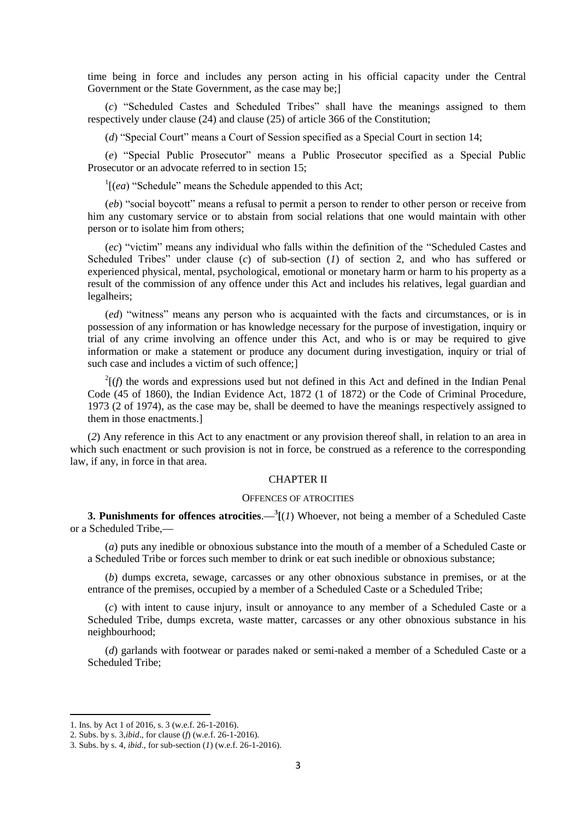time being in force and includes any person acting in his official capacity under the Central Government or the State Government, as the case may be;

(*c*) "Scheduled Castes and Scheduled Tribes" shall have the meanings assigned to them respectively under clause (24) and clause (25) of article 366 of the Constitution;

(*d*) "Special Court" means a Court of Session specified as a Special Court in section 14;

(*e*) "Special Public Prosecutor" means a Public Prosecutor specified as a Special Public Prosecutor or an advocate referred to in section 15;

 $\frac{1}{e^{a}}$  "Schedule" means the Schedule appended to this Act;

(*eb*) "social boycott" means a refusal to permit a person to render to other person or receive from him any customary service or to abstain from social relations that one would maintain with other person or to isolate him from others;

(*ec*) "victim" means any individual who falls within the definition of the "Scheduled Castes and Scheduled Tribes" under clause (*c*) of sub-section (*1*) of section 2, and who has suffered or experienced physical, mental, psychological, emotional or monetary harm or harm to his property as a result of the commission of any offence under this Act and includes his relatives, legal guardian and legalheirs;

(*ed*) "witness" means any person who is acquainted with the facts and circumstances, or is in possession of any information or has knowledge necessary for the purpose of investigation, inquiry or trial of any crime involving an offence under this Act, and who is or may be required to give information or make a statement or produce any document during investigation, inquiry or trial of such case and includes a victim of such offence;]

 $2(f)$  the words and expressions used but not defined in this Act and defined in the Indian Penal Code (45 of 1860), the Indian Evidence Act, 1872 (1 of 1872) or the Code of Criminal Procedure, 1973 (2 of 1974), as the case may be, shall be deemed to have the meanings respectively assigned to them in those enactments.]

(*2*) Any reference in this Act to any enactment or any provision thereof shall, in relation to an area in which such enactment or such provision is not in force, be construed as a reference to the corresponding law, if any, in force in that area.

## CHAPTER II

## OFFENCES OF ATROCITIES

**3. Punishments for offences atrocities**.**—<sup>3</sup> [**(*1*) Whoever, not being a member of a Scheduled Caste or a Scheduled Tribe,**—**

(*a*) puts any inedible or obnoxious substance into the mouth of a member of a Scheduled Caste or a Scheduled Tribe or forces such member to drink or eat such inedible or obnoxious substance;

(*b*) dumps excreta, sewage, carcasses or any other obnoxious substance in premises, or at the entrance of the premises, occupied by a member of a Scheduled Caste or a Scheduled Tribe;

(*c*) with intent to cause injury, insult or annoyance to any member of a Scheduled Caste or a Scheduled Tribe, dumps excreta, waste matter, carcasses or any other obnoxious substance in his neighbourhood;

(*d*) garlands with footwear or parades naked or semi-naked a member of a Scheduled Caste or a Scheduled Tribe;

<sup>1.</sup> Ins. by Act 1 of 2016, s. 3 (w.e.f. 26-1-2016).

<sup>2.</sup> Subs. by s. 3,*ibid*., for clause (*f*) (w.e.f. 26-1-2016).

<sup>3.</sup> Subs. by s. 4, *ibid*., for sub-section (*1*) (w.e.f. 26-1-2016).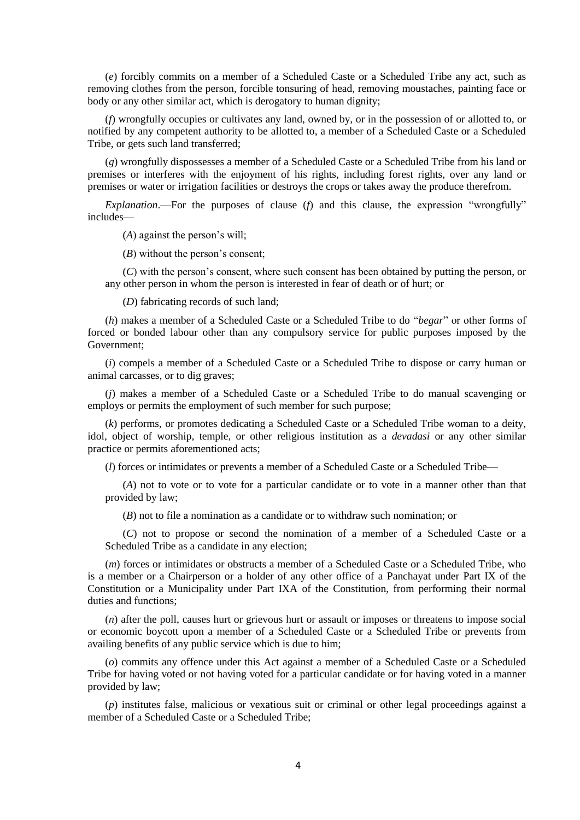(*e*) forcibly commits on a member of a Scheduled Caste or a Scheduled Tribe any act, such as removing clothes from the person, forcible tonsuring of head, removing moustaches, painting face or body or any other similar act, which is derogatory to human dignity;

(*f*) wrongfully occupies or cultivates any land, owned by, or in the possession of or allotted to, or notified by any competent authority to be allotted to, a member of a Scheduled Caste or a Scheduled Tribe, or gets such land transferred;

(*g*) wrongfully dispossesses a member of a Scheduled Caste or a Scheduled Tribe from his land or premises or interferes with the enjoyment of his rights, including forest rights, over any land or premises or water or irrigation facilities or destroys the crops or takes away the produce therefrom.

*Explanation*.—For the purposes of clause (*f*) and this clause, the expression "wrongfully" includes—

(*A*) against the person's will;

(*B*) without the person's consent;

(*C*) with the person's consent, where such consent has been obtained by putting the person, or any other person in whom the person is interested in fear of death or of hurt; or

(*D*) fabricating records of such land;

(*h*) makes a member of a Scheduled Caste or a Scheduled Tribe to do "*begar*" or other forms of forced or bonded labour other than any compulsory service for public purposes imposed by the Government;

(*i*) compels a member of a Scheduled Caste or a Scheduled Tribe to dispose or carry human or animal carcasses, or to dig graves;

(*j*) makes a member of a Scheduled Caste or a Scheduled Tribe to do manual scavenging or employs or permits the employment of such member for such purpose;

(*k*) performs, or promotes dedicating a Scheduled Caste or a Scheduled Tribe woman to a deity, idol, object of worship, temple, or other religious institution as a *devadasi* or any other similar practice or permits aforementioned acts;

(*l*) forces or intimidates or prevents a member of a Scheduled Caste or a Scheduled Tribe—

(*A*) not to vote or to vote for a particular candidate or to vote in a manner other than that provided by law;

(*B*) not to file a nomination as a candidate or to withdraw such nomination; or

(*C*) not to propose or second the nomination of a member of a Scheduled Caste or a Scheduled Tribe as a candidate in any election;

(*m*) forces or intimidates or obstructs a member of a Scheduled Caste or a Scheduled Tribe, who is a member or a Chairperson or a holder of any other office of a Panchayat under Part IX of the Constitution or a Municipality under Part IXA of the Constitution, from performing their normal duties and functions;

(*n*) after the poll, causes hurt or grievous hurt or assault or imposes or threatens to impose social or economic boycott upon a member of a Scheduled Caste or a Scheduled Tribe or prevents from availing benefits of any public service which is due to him;

(*o*) commits any offence under this Act against a member of a Scheduled Caste or a Scheduled Tribe for having voted or not having voted for a particular candidate or for having voted in a manner provided by law;

(*p*) institutes false, malicious or vexatious suit or criminal or other legal proceedings against a member of a Scheduled Caste or a Scheduled Tribe;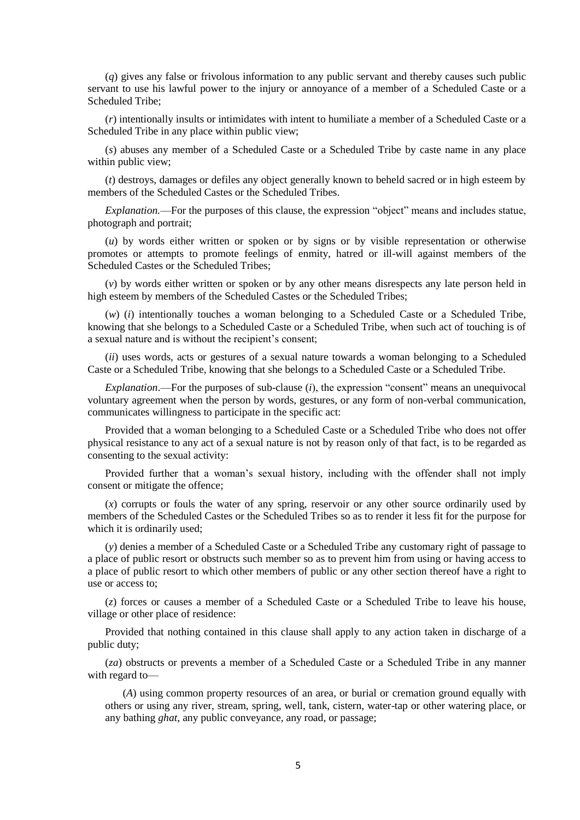(*q*) gives any false or frivolous information to any public servant and thereby causes such public servant to use his lawful power to the injury or annoyance of a member of a Scheduled Caste or a Scheduled Tribe;

(*r*) intentionally insults or intimidates with intent to humiliate a member of a Scheduled Caste or a Scheduled Tribe in any place within public view;

(*s*) abuses any member of a Scheduled Caste or a Scheduled Tribe by caste name in any place within public view;

(*t*) destroys, damages or defiles any object generally known to beheld sacred or in high esteem by members of the Scheduled Castes or the Scheduled Tribes.

*Explanation.*––For the purposes of this clause, the expression "object" means and includes statue, photograph and portrait;

(*u*) by words either written or spoken or by signs or by visible representation or otherwise promotes or attempts to promote feelings of enmity, hatred or ill-will against members of the Scheduled Castes or the Scheduled Tribes;

(*v*) by words either written or spoken or by any other means disrespects any late person held in high esteem by members of the Scheduled Castes or the Scheduled Tribes;

(*w*) (*i*) intentionally touches a woman belonging to a Scheduled Caste or a Scheduled Tribe, knowing that she belongs to a Scheduled Caste or a Scheduled Tribe, when such act of touching is of a sexual nature and is without the recipient's consent;

(*ii*) uses words, acts or gestures of a sexual nature towards a woman belonging to a Scheduled Caste or a Scheduled Tribe, knowing that she belongs to a Scheduled Caste or a Scheduled Tribe.

*Explanation*.––For the purposes of sub-clause (*i*), the expression "consent" means an unequivocal voluntary agreement when the person by words, gestures, or any form of non-verbal communication, communicates willingness to participate in the specific act:

Provided that a woman belonging to a Scheduled Caste or a Scheduled Tribe who does not offer physical resistance to any act of a sexual nature is not by reason only of that fact, is to be regarded as consenting to the sexual activity:

Provided further that a woman's sexual history, including with the offender shall not imply consent or mitigate the offence;

(*x*) corrupts or fouls the water of any spring, reservoir or any other source ordinarily used by members of the Scheduled Castes or the Scheduled Tribes so as to render it less fit for the purpose for which it is ordinarily used;

(*y*) denies a member of a Scheduled Caste or a Scheduled Tribe any customary right of passage to a place of public resort or obstructs such member so as to prevent him from using or having access to a place of public resort to which other members of public or any other section thereof have a right to use or access to;

(*z*) forces or causes a member of a Scheduled Caste or a Scheduled Tribe to leave his house, village or other place of residence:

Provided that nothing contained in this clause shall apply to any action taken in discharge of a public duty;

(*za*) obstructs or prevents a member of a Scheduled Caste or a Scheduled Tribe in any manner with regard to—

(*A*) using common property resources of an area, or burial or cremation ground equally with others or using any river, stream, spring, well, tank, cistern, water-tap or other watering place, or any bathing *ghat*, any public conveyance, any road, or passage;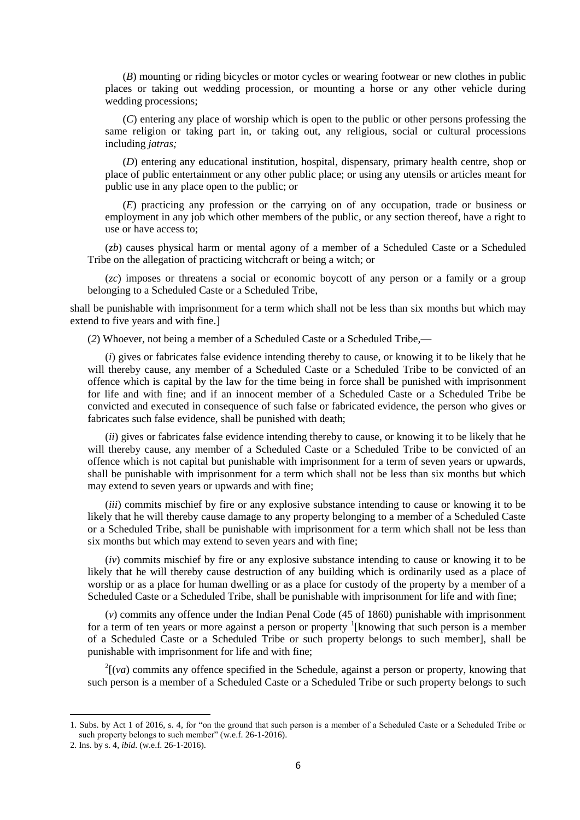(*B*) mounting or riding bicycles or motor cycles or wearing footwear or new clothes in public places or taking out wedding procession, or mounting a horse or any other vehicle during wedding processions;

(*C*) entering any place of worship which is open to the public or other persons professing the same religion or taking part in, or taking out, any religious, social or cultural processions including *jatras;*

(*D*) entering any educational institution, hospital, dispensary, primary health centre, shop or place of public entertainment or any other public place; or using any utensils or articles meant for public use in any place open to the public; or

(*E*) practicing any profession or the carrying on of any occupation, trade or business or employment in any job which other members of the public, or any section thereof, have a right to use or have access to;

(*zb*) causes physical harm or mental agony of a member of a Scheduled Caste or a Scheduled Tribe on the allegation of practicing witchcraft or being a witch; or

(*zc*) imposes or threatens a social or economic boycott of any person or a family or a group belonging to a Scheduled Caste or a Scheduled Tribe,

shall be punishable with imprisonment for a term which shall not be less than six months but which may extend to five years and with fine.]

(*2*) Whoever, not being a member of a Scheduled Caste or a Scheduled Tribe,**—**

(*i*) gives or fabricates false evidence intending thereby to cause, or knowing it to be likely that he will thereby cause, any member of a Scheduled Caste or a Scheduled Tribe to be convicted of an offence which is capital by the law for the time being in force shall be punished with imprisonment for life and with fine; and if an innocent member of a Scheduled Caste or a Scheduled Tribe be convicted and executed in consequence of such false or fabricated evidence, the person who gives or fabricates such false evidence, shall be punished with death;

(*ii*) gives or fabricates false evidence intending thereby to cause, or knowing it to be likely that he will thereby cause, any member of a Scheduled Caste or a Scheduled Tribe to be convicted of an offence which is not capital but punishable with imprisonment for a term of seven years or upwards, shall be punishable with imprisonment for a term which shall not be less than six months but which may extend to seven years or upwards and with fine;

(*iii*) commits mischief by fire or any explosive substance intending to cause or knowing it to be likely that he will thereby cause damage to any property belonging to a member of a Scheduled Caste or a Scheduled Tribe, shall be punishable with imprisonment for a term which shall not be less than six months but which may extend to seven years and with fine;

(*iv*) commits mischief by fire or any explosive substance intending to cause or knowing it to be likely that he will thereby cause destruction of any building which is ordinarily used as a place of worship or as a place for human dwelling or as a place for custody of the property by a member of a Scheduled Caste or a Scheduled Tribe, shall be punishable with imprisonment for life and with fine;

(*v*) commits any offence under the Indian Penal Code (45 of 1860) punishable with imprisonment for a term of ten years or more against a person or property  $\frac{1}{2}$ [knowing that such person is a member of a Scheduled Caste or a Scheduled Tribe or such property belongs to such member], shall be punishable with imprisonment for life and with fine;

 $2\left[\nu a\right]$  commits any offence specified in the Schedule, against a person or property, knowing that such person is a member of a Scheduled Caste or a Scheduled Tribe or such property belongs to such

<sup>1.</sup> Subs. by Act 1 of 2016, s. 4, for "on the ground that such person is a member of a Scheduled Caste or a Scheduled Tribe or such property belongs to such member" (w.e.f. 26-1-2016).

<sup>2.</sup> Ins. by s. 4, *ibid*. (w.e.f. 26-1-2016).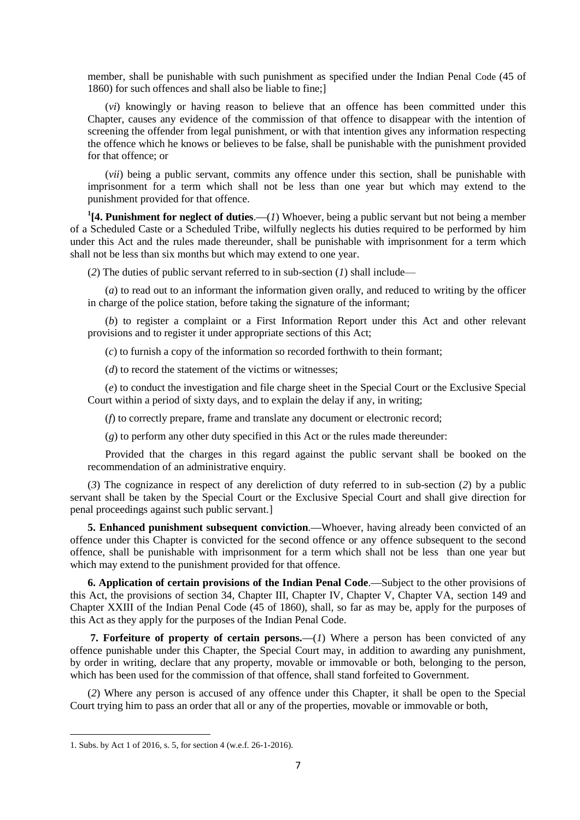member, shall be punishable with such punishment as specified under the Indian Penal Code (45 of 1860) for such offences and shall also be liable to fine;]

(*vi*) knowingly or having reason to believe that an offence has been committed under this Chapter, causes any evidence of the commission of that offence to disappear with the intention of screening the offender from legal punishment, or with that intention gives any information respecting the offence which he knows or believes to be false, shall be punishable with the punishment provided for that offence; or

(*vii*) being a public servant, commits any offence under this section, shall be punishable with imprisonment for a term which shall not be less than one year but which may extend to the punishment provided for that offence.

**1 [4. Punishment for neglect of duties**.**—**(*1*) Whoever, being a public servant but not being a member of a Scheduled Caste or a Scheduled Tribe, wilfully neglects his duties required to be performed by him under this Act and the rules made thereunder, shall be punishable with imprisonment for a term which shall not be less than six months but which may extend to one year.

(*2*) The duties of public servant referred to in sub-section (*1*) shall include––

(*a*) to read out to an informant the information given orally, and reduced to writing by the officer in charge of the police station, before taking the signature of the informant;

(*b*) to register a complaint or a First Information Report under this Act and other relevant provisions and to register it under appropriate sections of this Act;

(*c*) to furnish a copy of the information so recorded forthwith to thein formant;

(*d*) to record the statement of the victims or witnesses;

(*e*) to conduct the investigation and file charge sheet in the Special Court or the Exclusive Special Court within a period of sixty days, and to explain the delay if any, in writing;

(*f*) to correctly prepare, frame and translate any document or electronic record;

(*g*) to perform any other duty specified in this Act or the rules made thereunder:

Provided that the charges in this regard against the public servant shall be booked on the recommendation of an administrative enquiry.

(*3*) The cognizance in respect of any dereliction of duty referred to in sub-section (*2*) by a public servant shall be taken by the Special Court or the Exclusive Special Court and shall give direction for penal proceedings against such public servant.]

**5. Enhanced punishment subsequent conviction**.**—**Whoever, having already been convicted of an offence under this Chapter is convicted for the second offence or any offence subsequent to the second offence, shall be punishable with imprisonment for a term which shall not be less than one year but which may extend to the punishment provided for that offence.

**6. Application of certain provisions of the Indian Penal Code**.**—**Subject to the other provisions of this Act, the provisions of section 34, Chapter III, Chapter IV, Chapter V, Chapter VA, section 149 and Chapter XXIII of the Indian Penal Code (45 of 1860), shall, so far as may be, apply for the purposes of this Act as they apply for the purposes of the Indian Penal Code.

**7. Forfeiture of property of certain persons.—(***1***) Where a person has been convicted of any** offence punishable under this Chapter, the Special Court may, in addition to awarding any punishment, by order in writing, declare that any property, movable or immovable or both, belonging to the person, which has been used for the commission of that offence, shall stand forfeited to Government.

(*2*) Where any person is accused of any offence under this Chapter, it shall be open to the Special Court trying him to pass an order that all or any of the properties, movable or immovable or both,

<sup>1.</sup> Subs. by Act 1 of 2016, s. 5, for section 4 (w.e.f. 26-1-2016).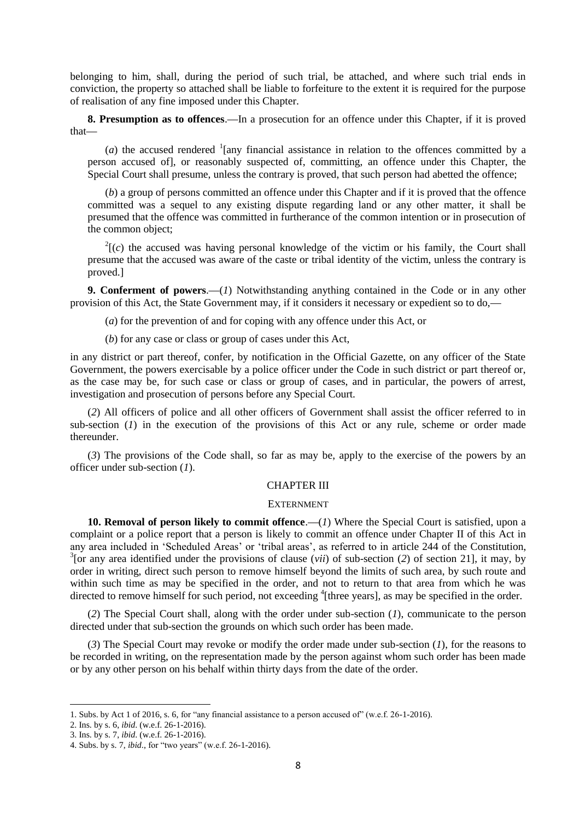belonging to him, shall, during the period of such trial, be attached, and where such trial ends in conviction, the property so attached shall be liable to forfeiture to the extent it is required for the purpose of realisation of any fine imposed under this Chapter.

**8. Presumption as to offences**.**—**In a prosecution for an offence under this Chapter, if it is proved that**—**

(*a*) the accused rendered  $\frac{1}{2}$  [any financial assistance in relation to the offences committed by a person accused of], or reasonably suspected of, committing, an offence under this Chapter, the Special Court shall presume, unless the contrary is proved, that such person had abetted the offence;

(*b*) a group of persons committed an offence under this Chapter and if it is proved that the offence committed was a sequel to any existing dispute regarding land or any other matter, it shall be presumed that the offence was committed in furtherance of the common intention or in prosecution of the common object;

 $2(c)$  the accused was having personal knowledge of the victim or his family, the Court shall presume that the accused was aware of the caste or tribal identity of the victim, unless the contrary is proved.]

**9. Conferment of powers**.**—**(*1*) Notwithstanding anything contained in the Code or in any other provision of this Act, the State Government may, if it considers it necessary or expedient so to do,**—**

(*a*) for the prevention of and for coping with any offence under this Act, or

(*b*) for any case or class or group of cases under this Act,

in any district or part thereof, confer, by notification in the Official Gazette, on any officer of the State Government, the powers exercisable by a police officer under the Code in such district or part thereof or, as the case may be, for such case or class or group of cases, and in particular, the powers of arrest, investigation and prosecution of persons before any Special Court.

(*2*) All officers of police and all other officers of Government shall assist the officer referred to in sub-section  $(I)$  in the execution of the provisions of this Act or any rule, scheme or order made thereunder.

(*3*) The provisions of the Code shall, so far as may be, apply to the exercise of the powers by an officer under sub-section (*1*).

## CHAPTER III

#### **EXTERNMENT**

**10. Removal of person likely to commit offence.—(***1***) Where the Special Court is satisfied, upon a** complaint or a police report that a person is likely to commit an offence under Chapter II of this Act in any area included in 'Scheduled Areas' or 'tribal areas', as referred to in article 244 of the Constitution, 3 [or any area identified under the provisions of clause (*vii*) of sub-section (*2*) of section 21], it may, by order in writing, direct such person to remove himself beyond the limits of such area, by such route and within such time as may be specified in the order, and not to return to that area from which he was directed to remove himself for such period, not exceeding <sup>4</sup>[three years], as may be specified in the order.

(*2*) The Special Court shall, along with the order under sub-section (*1*), communicate to the person directed under that sub-section the grounds on which such order has been made.

(*3*) The Special Court may revoke or modify the order made under sub-section (*1*), for the reasons to be recorded in writing, on the representation made by the person against whom such order has been made or by any other person on his behalf within thirty days from the date of the order.

<sup>1.</sup> Subs. by Act 1 of 2016, s. 6, for "any financial assistance to a person accused of" (w.e.f. 26-1-2016).

<sup>2.</sup> Ins. by s. 6, *ibid*. (w.e.f. 26-1-2016).

<sup>3.</sup> Ins. by s. 7, *ibid*. (w.e.f. 26-1-2016).

<sup>4.</sup> Subs. by s. 7, *ibid*., for "two years" (w.e.f. 26-1-2016).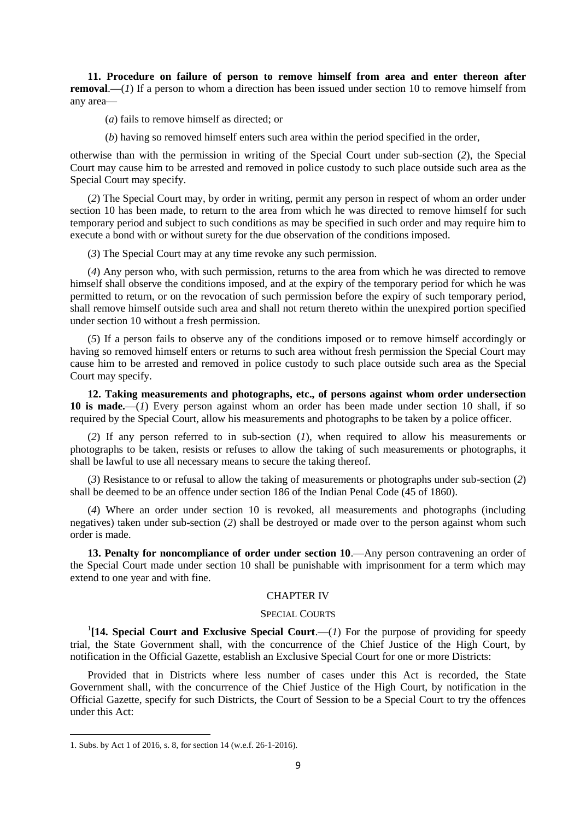**11. Procedure on failure of person to remove himself from area and enter thereon after removal.**—(*1*) If a person to whom a direction has been issued under section 10 to remove himself from any area**—**

(*a*) fails to remove himself as directed; or

(*b*) having so removed himself enters such area within the period specified in the order,

otherwise than with the permission in writing of the Special Court under sub-section (*2*), the Special Court may cause him to be arrested and removed in police custody to such place outside such area as the Special Court may specify.

(*2*) The Special Court may, by order in writing, permit any person in respect of whom an order under section 10 has been made, to return to the area from which he was directed to remove himself for such temporary period and subject to such conditions as may be specified in such order and may require him to execute a bond with or without surety for the due observation of the conditions imposed.

(*3*) The Special Court may at any time revoke any such permission.

(*4*) Any person who, with such permission, returns to the area from which he was directed to remove himself shall observe the conditions imposed, and at the expiry of the temporary period for which he was permitted to return, or on the revocation of such permission before the expiry of such temporary period, shall remove himself outside such area and shall not return thereto within the unexpired portion specified under section 10 without a fresh permission.

(*5*) If a person fails to observe any of the conditions imposed or to remove himself accordingly or having so removed himself enters or returns to such area without fresh permission the Special Court may cause him to be arrested and removed in police custody to such place outside such area as the Special Court may specify.

**12. Taking measurements and photographs, etc., of persons against whom order undersection 10 is made.—**(*1*) Every person against whom an order has been made under section 10 shall, if so required by the Special Court, allow his measurements and photographs to be taken by a police officer.

(*2*) If any person referred to in sub-section (*1*), when required to allow his measurements or photographs to be taken, resists or refuses to allow the taking of such measurements or photographs, it shall be lawful to use all necessary means to secure the taking thereof.

(*3*) Resistance to or refusal to allow the taking of measurements or photographs under sub-section (*2*) shall be deemed to be an offence under section 186 of the Indian Penal Code (45 of 1860).

(*4*) Where an order under section 10 is revoked, all measurements and photographs (including negatives) taken under sub-section (*2*) shall be destroyed or made over to the person against whom such order is made.

**13. Penalty for noncompliance of order under section 10**.**—**Any person contravening an order of the Special Court made under section 10 shall be punishable with imprisonment for a term which may extend to one year and with fine.

#### CHAPTER IV

#### SPECIAL COURTS

<sup>1</sup>[14. Special Court and Exclusive Special Court.—(1) For the purpose of providing for speedy trial, the State Government shall, with the concurrence of the Chief Justice of the High Court, by notification in the Official Gazette, establish an Exclusive Special Court for one or more Districts:

Provided that in Districts where less number of cases under this Act is recorded, the State Government shall, with the concurrence of the Chief Justice of the High Court, by notification in the Official Gazette, specify for such Districts, the Court of Session to be a Special Court to try the offences under this Act:

<sup>1.</sup> Subs. by Act 1 of 2016, s. 8, for section 14 (w.e.f. 26-1-2016).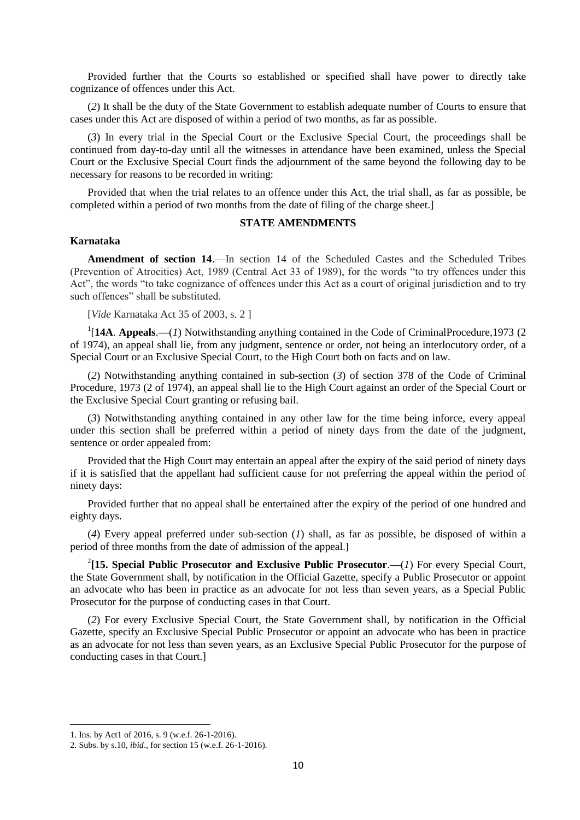Provided further that the Courts so established or specified shall have power to directly take cognizance of offences under this Act.

(*2*) It shall be the duty of the State Government to establish adequate number of Courts to ensure that cases under this Act are disposed of within a period of two months, as far as possible.

(*3*) In every trial in the Special Court or the Exclusive Special Court, the proceedings shall be continued from day-to-day until all the witnesses in attendance have been examined, unless the Special Court or the Exclusive Special Court finds the adjournment of the same beyond the following day to be necessary for reasons to be recorded in writing:

Provided that when the trial relates to an offence under this Act, the trial shall, as far as possible, be completed within a period of two months from the date of filing of the charge sheet.]

## **STATE AMENDMENTS**

### **Karnataka**

**Amendment of section 14**.—In section 14 of the Scheduled Castes and the Scheduled Tribes (Prevention of Atrocities) Act, 1989 (Central Act 33 of 1989), for the words "to try offences under this Act", the words "to take cognizance of offences under this Act as a court of original jurisdiction and to try such offences" shall be substituted.

[*Vide* Karnataka Act 35 of 2003, s. 2 ]

1 [**14A**. **Appeals**.**—**(*1*) Notwithstanding anything contained in the Code of CriminalProcedure,1973 (2 of 1974), an appeal shall lie, from any judgment, sentence or order, not being an interlocutory order, of a Special Court or an Exclusive Special Court, to the High Court both on facts and on law.

(*2*) Notwithstanding anything contained in sub-section (*3*) of section 378 of the Code of Criminal Procedure, 1973 (2 of 1974), an appeal shall lie to the High Court against an order of the Special Court or the Exclusive Special Court granting or refusing bail.

(*3*) Notwithstanding anything contained in any other law for the time being inforce, every appeal under this section shall be preferred within a period of ninety days from the date of the judgment, sentence or order appealed from:

Provided that the High Court may entertain an appeal after the expiry of the said period of ninety days if it is satisfied that the appellant had sufficient cause for not preferring the appeal within the period of ninety days:

Provided further that no appeal shall be entertained after the expiry of the period of one hundred and eighty days.

(*4*) Every appeal preferred under sub-section (*1*) shall, as far as possible, be disposed of within a period of three months from the date of admission of the appeal.]

2 **[15. Special Public Prosecutor and Exclusive Public Prosecutor**.**—**(*1*) For every Special Court, the State Government shall, by notification in the Official Gazette, specify a Public Prosecutor or appoint an advocate who has been in practice as an advocate for not less than seven years, as a Special Public Prosecutor for the purpose of conducting cases in that Court.

(*2*) For every Exclusive Special Court, the State Government shall, by notification in the Official Gazette, specify an Exclusive Special Public Prosecutor or appoint an advocate who has been in practice as an advocate for not less than seven years, as an Exclusive Special Public Prosecutor for the purpose of conducting cases in that Court.]

1

<sup>1.</sup> Ins. by Act1 of 2016, s. 9 (w.e.f. 26-1-2016).

<sup>2.</sup> Subs. by s.10, *ibid*., for section 15 (w.e.f. 26-1-2016).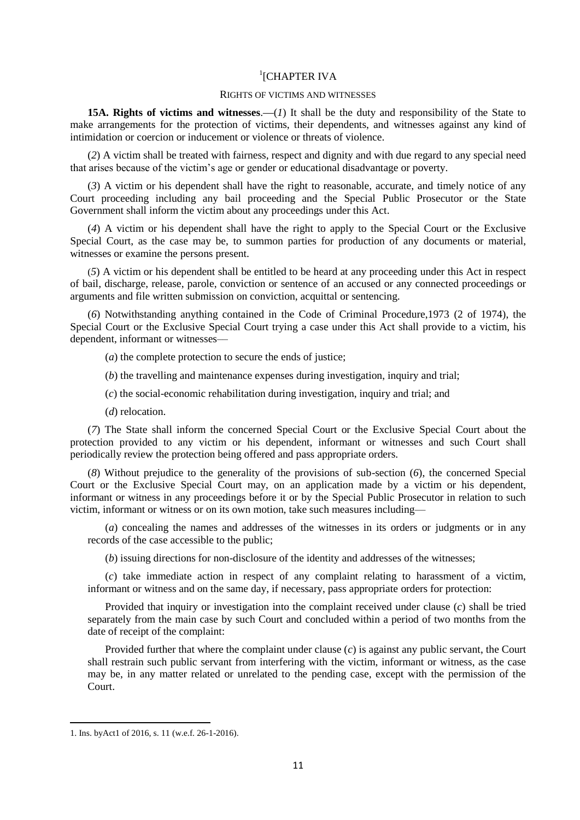# <sup>1</sup>[CHAPTER IVA

#### RIGHTS OF VICTIMS AND WITNESSES

**15A. Rights of victims and witnesses**.**—**(*1*) It shall be the duty and responsibility of the State to make arrangements for the protection of victims, their dependents, and witnesses against any kind of intimidation or coercion or inducement or violence or threats of violence.

(*2*) A victim shall be treated with fairness, respect and dignity and with due regard to any special need that arises because of the victim's age or gender or educational disadvantage or poverty.

(*3*) A victim or his dependent shall have the right to reasonable, accurate, and timely notice of any Court proceeding including any bail proceeding and the Special Public Prosecutor or the State Government shall inform the victim about any proceedings under this Act.

(*4*) A victim or his dependent shall have the right to apply to the Special Court or the Exclusive Special Court, as the case may be, to summon parties for production of any documents or material, witnesses or examine the persons present.

(*5*) A victim or his dependent shall be entitled to be heard at any proceeding under this Act in respect of bail, discharge, release, parole, conviction or sentence of an accused or any connected proceedings or arguments and file written submission on conviction, acquittal or sentencing.

(*6*) Notwithstanding anything contained in the Code of Criminal Procedure,1973 (2 of 1974), the Special Court or the Exclusive Special Court trying a case under this Act shall provide to a victim, his dependent, informant or witnesses––

(*a*) the complete protection to secure the ends of justice;

(*b*) the travelling and maintenance expenses during investigation, inquiry and trial;

(*c*) the social-economic rehabilitation during investigation, inquiry and trial; and

(*d*) relocation.

(*7*) The State shall inform the concerned Special Court or the Exclusive Special Court about the protection provided to any victim or his dependent, informant or witnesses and such Court shall periodically review the protection being offered and pass appropriate orders.

(*8*) Without prejudice to the generality of the provisions of sub-section (*6*), the concerned Special Court or the Exclusive Special Court may, on an application made by a victim or his dependent, informant or witness in any proceedings before it or by the Special Public Prosecutor in relation to such victim, informant or witness or on its own motion, take such measures including––

(*a*) concealing the names and addresses of the witnesses in its orders or judgments or in any records of the case accessible to the public;

(*b*) issuing directions for non-disclosure of the identity and addresses of the witnesses;

(*c*) take immediate action in respect of any complaint relating to harassment of a victim, informant or witness and on the same day, if necessary, pass appropriate orders for protection:

Provided that inquiry or investigation into the complaint received under clause (*c*) shall be tried separately from the main case by such Court and concluded within a period of two months from the date of receipt of the complaint:

Provided further that where the complaint under clause (*c*) is against any public servant, the Court shall restrain such public servant from interfering with the victim, informant or witness, as the case may be, in any matter related or unrelated to the pending case, except with the permission of the Court.

1

<sup>1.</sup> Ins. byAct1 of 2016, s. 11 (w.e.f. 26-1-2016).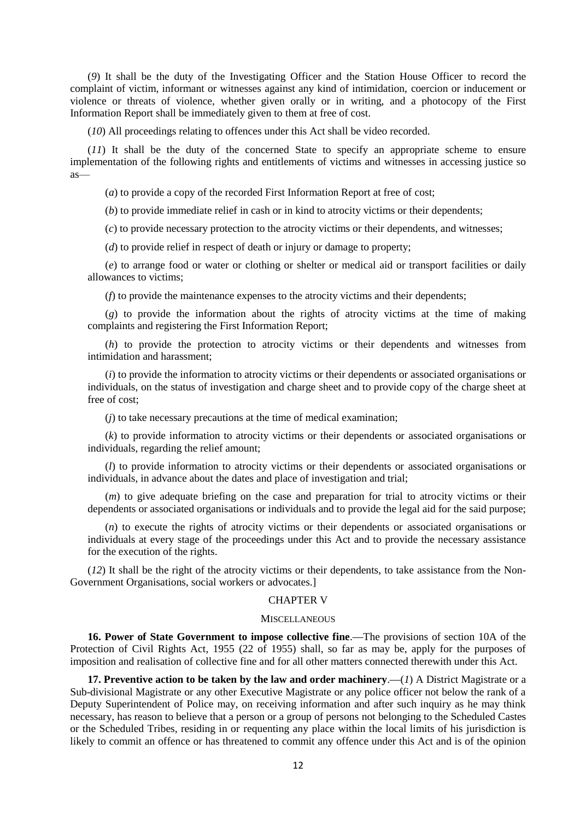(*9*) It shall be the duty of the Investigating Officer and the Station House Officer to record the complaint of victim, informant or witnesses against any kind of intimidation, coercion or inducement or violence or threats of violence, whether given orally or in writing, and a photocopy of the First Information Report shall be immediately given to them at free of cost.

(*10*) All proceedings relating to offences under this Act shall be video recorded.

(*11*) It shall be the duty of the concerned State to specify an appropriate scheme to ensure implementation of the following rights and entitlements of victims and witnesses in accessing justice so as––

(*a*) to provide a copy of the recorded First Information Report at free of cost;

(*b*) to provide immediate relief in cash or in kind to atrocity victims or their dependents;

(*c*) to provide necessary protection to the atrocity victims or their dependents, and witnesses;

(*d*) to provide relief in respect of death or injury or damage to property;

(*e*) to arrange food or water or clothing or shelter or medical aid or transport facilities or daily allowances to victims;

(*f*) to provide the maintenance expenses to the atrocity victims and their dependents;

(*g*) to provide the information about the rights of atrocity victims at the time of making complaints and registering the First Information Report;

(*h*) to provide the protection to atrocity victims or their dependents and witnesses from intimidation and harassment;

(*i*) to provide the information to atrocity victims or their dependents or associated organisations or individuals, on the status of investigation and charge sheet and to provide copy of the charge sheet at free of cost;

(*j*) to take necessary precautions at the time of medical examination;

(*k*) to provide information to atrocity victims or their dependents or associated organisations or individuals, regarding the relief amount;

(*l*) to provide information to atrocity victims or their dependents or associated organisations or individuals, in advance about the dates and place of investigation and trial;

(*m*) to give adequate briefing on the case and preparation for trial to atrocity victims or their dependents or associated organisations or individuals and to provide the legal aid for the said purpose;

(*n*) to execute the rights of atrocity victims or their dependents or associated organisations or individuals at every stage of the proceedings under this Act and to provide the necessary assistance for the execution of the rights.

(*12*) It shall be the right of the atrocity victims or their dependents, to take assistance from the Non-Government Organisations, social workers or advocates.]

#### CHAPTER V

#### **MISCELLANEOUS**

**16. Power of State Government to impose collective fine**.**—**The provisions of section 10A of the Protection of Civil Rights Act, 1955 (22 of 1955) shall, so far as may be, apply for the purposes of imposition and realisation of collective fine and for all other matters connected therewith under this Act.

**17. Preventive action to be taken by the law and order machinery**.**—**(*1*) A District Magistrate or a Sub-divisional Magistrate or any other Executive Magistrate or any police officer not below the rank of a Deputy Superintendent of Police may, on receiving information and after such inquiry as he may think necessary, has reason to believe that a person or a group of persons not belonging to the Scheduled Castes or the Scheduled Tribes, residing in or requenting any place within the local limits of his jurisdiction is likely to commit an offence or has threatened to commit any offence under this Act and is of the opinion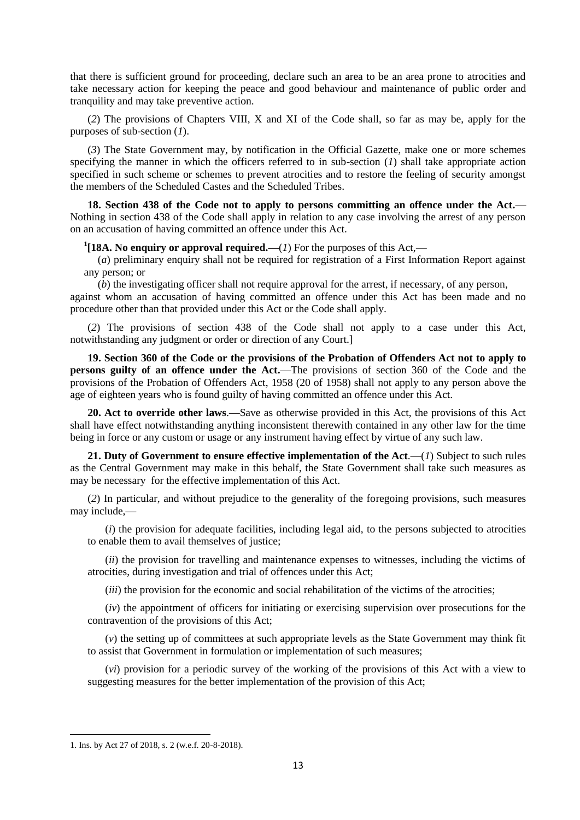that there is sufficient ground for proceeding, declare such an area to be an area prone to atrocities and take necessary action for keeping the peace and good behaviour and maintenance of public order and tranquility and may take preventive action.

(*2*) The provisions of Chapters VIII, X and XI of the Code shall, so far as may be, apply for the purposes of sub-section (*1*).

(*3*) The State Government may, by notification in the Official Gazette, make one or more schemes specifying the manner in which the officers referred to in sub-section (*1*) shall take appropriate action specified in such scheme or schemes to prevent atrocities and to restore the feeling of security amongst the members of the Scheduled Castes and the Scheduled Tribes.

**18. Section 438 of the Code not to apply to persons committing an offence under the Act.—** Nothing in section 438 of the Code shall apply in relation to any case involving the arrest of any person on an accusation of having committed an offence under this Act.

**1 [18A. No enquiry or approval required.—**(*1*) For the purposes of this Act,—

(*a*) preliminary enquiry shall not be required for registration of a First Information Report against any person; or

(*b*) the investigating officer shall not require approval for the arrest, if necessary, of any person, against whom an accusation of having committed an offence under this Act has been made and no procedure other than that provided under this Act or the Code shall apply.

(*2*) The provisions of section 438 of the Code shall not apply to a case under this Act, notwithstanding any judgment or order or direction of any Court.]

**19. Section 360 of the Code or the provisions of the Probation of Offenders Act not to apply to persons guilty of an offence under the Act.—**The provisions of section 360 of the Code and the provisions of the Probation of Offenders Act, 1958 (20 of 1958) shall not apply to any person above the age of eighteen years who is found guilty of having committed an offence under this Act.

**20. Act to override other laws**.**—**Save as otherwise provided in this Act, the provisions of this Act shall have effect notwithstanding anything inconsistent therewith contained in any other law for the time being in force or any custom or usage or any instrument having effect by virtue of any such law.

**21. Duty of Government to ensure effective implementation of the Act**.**—**(*1*) Subject to such rules as the Central Government may make in this behalf, the State Government shall take such measures as may be necessary for the effective implementation of this Act.

(*2*) In particular, and without prejudice to the generality of the foregoing provisions, such measures may include,**—**

(*i*) the provision for adequate facilities, including legal aid, to the persons subjected to atrocities to enable them to avail themselves of justice;

(*ii*) the provision for travelling and maintenance expenses to witnesses, including the victims of atrocities, during investigation and trial of offences under this Act;

(*iii*) the provision for the economic and social rehabilitation of the victims of the atrocities;

(*iv*) the appointment of officers for initiating or exercising supervision over prosecutions for the contravention of the provisions of this Act;

(*v*) the setting up of committees at such appropriate levels as the State Government may think fit to assist that Government in formulation or implementation of such measures;

(*vi*) provision for a periodic survey of the working of the provisions of this Act with a view to suggesting measures for the better implementation of the provision of this Act;

<sup>1.</sup> Ins. by Act 27 of 2018, s. 2 (w.e.f. 20-8-2018).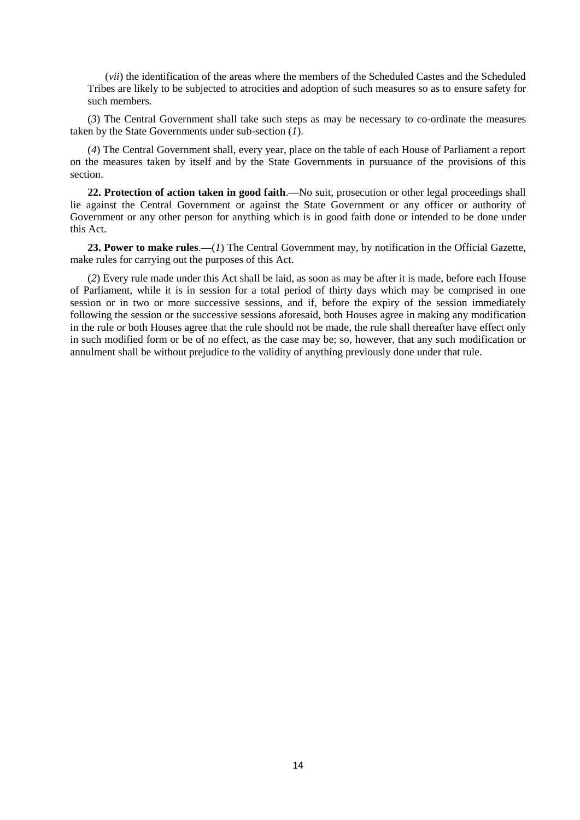(*vii*) the identification of the areas where the members of the Scheduled Castes and the Scheduled Tribes are likely to be subjected to atrocities and adoption of such measures so as to ensure safety for such members.

(*3*) The Central Government shall take such steps as may be necessary to co-ordinate the measures taken by the State Governments under sub-section (*1*).

(*4*) The Central Government shall, every year, place on the table of each House of Parliament a report on the measures taken by itself and by the State Governments in pursuance of the provisions of this section.

**22. Protection of action taken in good faith**.**—**No suit, prosecution or other legal proceedings shall lie against the Central Government or against the State Government or any officer or authority of Government or any other person for anything which is in good faith done or intended to be done under this Act.

23. Power to make rules.—(*1*) The Central Government may, by notification in the Official Gazette, make rules for carrying out the purposes of this Act.

(*2*) Every rule made under this Act shall be laid, as soon as may be after it is made, before each House of Parliament, while it is in session for a total period of thirty days which may be comprised in one session or in two or more successive sessions, and if, before the expiry of the session immediately following the session or the successive sessions aforesaid, both Houses agree in making any modification in the rule or both Houses agree that the rule should not be made, the rule shall thereafter have effect only in such modified form or be of no effect, as the case may be; so, however, that any such modification or annulment shall be without prejudice to the validity of anything previously done under that rule.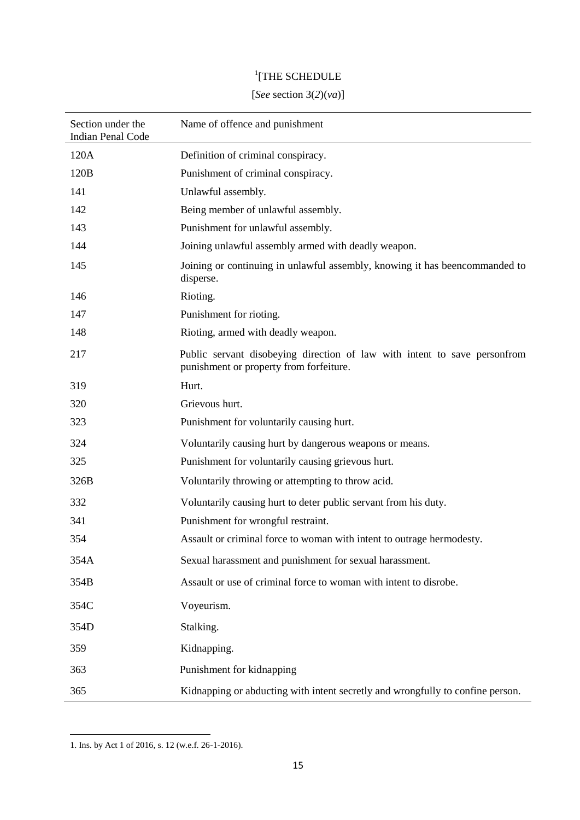# <sup>1</sup>[THE SCHEDULE

# [*See* section 3(*2*)(*va*)]

| Section under the<br><b>Indian Penal Code</b> | Name of offence and punishment                                                                                       |
|-----------------------------------------------|----------------------------------------------------------------------------------------------------------------------|
| 120A                                          | Definition of criminal conspiracy.                                                                                   |
| 120B                                          | Punishment of criminal conspiracy.                                                                                   |
| 141                                           | Unlawful assembly.                                                                                                   |
| 142                                           | Being member of unlawful assembly.                                                                                   |
| 143                                           | Punishment for unlawful assembly.                                                                                    |
| 144                                           | Joining unlawful assembly armed with deadly weapon.                                                                  |
| 145                                           | Joining or continuing in unlawful assembly, knowing it has beencommanded to<br>disperse.                             |
| 146                                           | Rioting.                                                                                                             |
| 147                                           | Punishment for rioting.                                                                                              |
| 148                                           | Rioting, armed with deadly weapon.                                                                                   |
| 217                                           | Public servant disobeying direction of law with intent to save personfrom<br>punishment or property from forfeiture. |
| 319                                           | Hurt.                                                                                                                |
| 320                                           | Grievous hurt.                                                                                                       |
| 323                                           | Punishment for voluntarily causing hurt.                                                                             |
| 324                                           | Voluntarily causing hurt by dangerous weapons or means.                                                              |
| 325                                           | Punishment for voluntarily causing grievous hurt.                                                                    |
| 326B                                          | Voluntarily throwing or attempting to throw acid.                                                                    |
| 332                                           | Voluntarily causing hurt to deter public servant from his duty.                                                      |
| 341                                           | Punishment for wrongful restraint.                                                                                   |
| 354                                           | Assault or criminal force to woman with intent to outrage hermodesty.                                                |
| 354A                                          | Sexual harassment and punishment for sexual harassment.                                                              |
| 354B                                          | Assault or use of criminal force to woman with intent to disrobe.                                                    |
| 354C                                          | Voyeurism.                                                                                                           |
| 354D                                          | Stalking.                                                                                                            |
| 359                                           | Kidnapping.                                                                                                          |
| 363                                           | Punishment for kidnapping                                                                                            |
| 365                                           | Kidnapping or abducting with intent secretly and wrongfully to confine person.                                       |

<sup>1.</sup> Ins. by Act 1 of 2016, s. 12 (w.e.f. 26-1-2016).